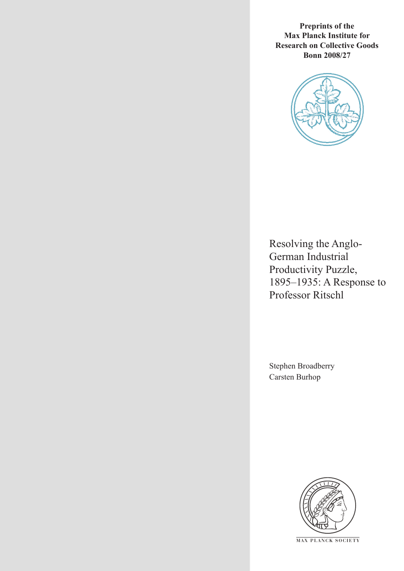**Preprints of the Max Planck Institute for Research on Collective Goods Bonn 2008/27**



Resolving the Anglo-German Industrial Productivity Puzzle, 1895–1935: A Response to Professor Ritschl

Stephen Broadberry Carsten Burhop



**M AX P L A N C K S O C I E T Y**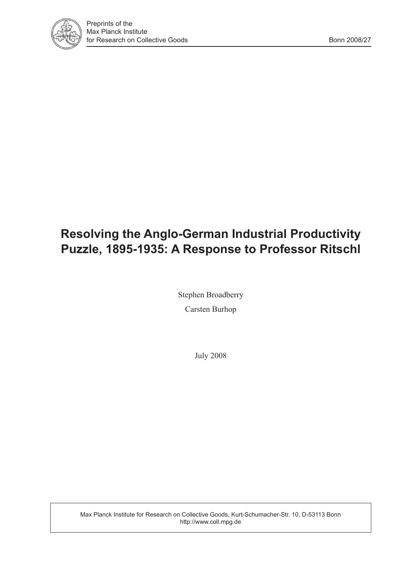

# **Resolving the Anglo-German Industrial Productivity Puzzle, 1895-1935: A Response to Professor Ritschl**

Stephen Broadberry Carsten Burhop

July 2008

Max Planck Institute for Research on Collective Goods, Kurt-Schumacher-Str. 10, D-53113 Bonn http://www.coll.mpg.de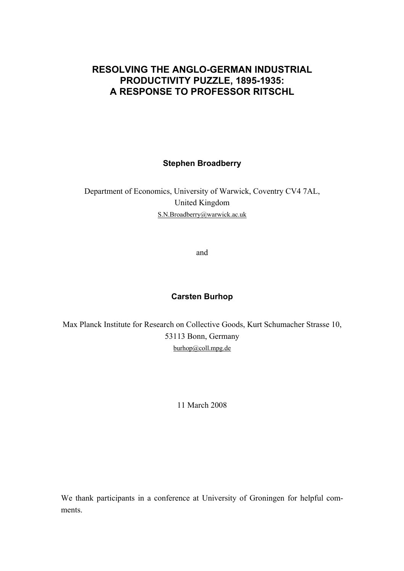### **RESOLVING THE ANGLO-GERMAN INDUSTRIAL PRODUCTIVITY PUZZLE, 1895-1935: A RESPONSE TO PROFESSOR RITSCHL**

**Stephen Broadberry** 

Department of Economics, University of Warwick, Coventry CV4 7AL, United Kingdom S.N.Broadberry@warwick.ac.uk

and

### **Carsten Burhop**

Max Planck Institute for Research on Collective Goods, Kurt Schumacher Strasse 10, 53113 Bonn, Germany burhop@coll.mpg.de

11 March 2008

We thank participants in a conference at University of Groningen for helpful comments.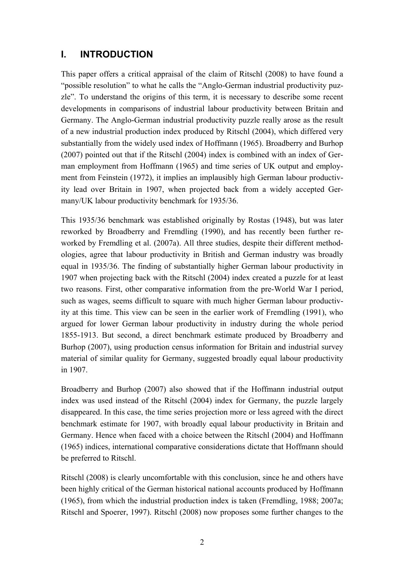### **I. INTRODUCTION**

This paper offers a critical appraisal of the claim of Ritschl (2008) to have found a "possible resolution" to what he calls the "Anglo-German industrial productivity puzzle". To understand the origins of this term, it is necessary to describe some recent developments in comparisons of industrial labour productivity between Britain and Germany. The Anglo-German industrial productivity puzzle really arose as the result of a new industrial production index produced by Ritschl (2004), which differed very substantially from the widely used index of Hoffmann (1965). Broadberry and Burhop (2007) pointed out that if the Ritschl (2004) index is combined with an index of German employment from Hoffmann (1965) and time series of UK output and employment from Feinstein (1972), it implies an implausibly high German labour productivity lead over Britain in 1907, when projected back from a widely accepted Germany/UK labour productivity benchmark for 1935/36.

This 1935/36 benchmark was established originally by Rostas (1948), but was later reworked by Broadberry and Fremdling (1990), and has recently been further reworked by Fremdling et al. (2007a). All three studies, despite their different methodologies, agree that labour productivity in British and German industry was broadly equal in 1935/36. The finding of substantially higher German labour productivity in 1907 when projecting back with the Ritschl (2004) index created a puzzle for at least two reasons. First, other comparative information from the pre-World War I period, such as wages, seems difficult to square with much higher German labour productivity at this time. This view can be seen in the earlier work of Fremdling (1991), who argued for lower German labour productivity in industry during the whole period 1855-1913. But second, a direct benchmark estimate produced by Broadberry and Burhop (2007), using production census information for Britain and industrial survey material of similar quality for Germany, suggested broadly equal labour productivity in 1907.

Broadberry and Burhop (2007) also showed that if the Hoffmann industrial output index was used instead of the Ritschl (2004) index for Germany, the puzzle largely disappeared. In this case, the time series projection more or less agreed with the direct benchmark estimate for 1907, with broadly equal labour productivity in Britain and Germany. Hence when faced with a choice between the Ritschl (2004) and Hoffmann (1965) indices, international comparative considerations dictate that Hoffmann should be preferred to Ritschl.

Ritschl (2008) is clearly uncomfortable with this conclusion, since he and others have been highly critical of the German historical national accounts produced by Hoffmann (1965), from which the industrial production index is taken (Fremdling, 1988; 2007a; Ritschl and Spoerer, 1997). Ritschl (2008) now proposes some further changes to the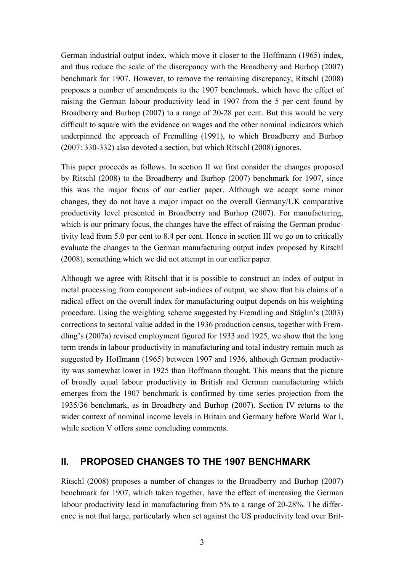German industrial output index, which move it closer to the Hoffmann (1965) index, and thus reduce the scale of the discrepancy with the Broadberry and Burhop (2007) benchmark for 1907. However, to remove the remaining discrepancy, Ritschl (2008) proposes a number of amendments to the 1907 benchmark, which have the effect of raising the German labour productivity lead in 1907 from the 5 per cent found by Broadberry and Burhop (2007) to a range of 20-28 per cent. But this would be very difficult to square with the evidence on wages and the other nominal indicators which underpinned the approach of Fremdling (1991), to which Broadberry and Burhop (2007: 330-332) also devoted a section, but which Ritschl (2008) ignores.

This paper proceeds as follows. In section II we first consider the changes proposed by Ritschl (2008) to the Broadberry and Burhop (2007) benchmark for 1907, since this was the major focus of our earlier paper. Although we accept some minor changes, they do not have a major impact on the overall Germany/UK comparative productivity level presented in Broadberry and Burhop (2007). For manufacturing, which is our primary focus, the changes have the effect of raising the German productivity lead from 5.0 per cent to 8.4 per cent. Hence in section III we go on to critically evaluate the changes to the German manufacturing output index proposed by Ritschl (2008), something which we did not attempt in our earlier paper.

Although we agree with Ritschl that it is possible to construct an index of output in metal processing from component sub-indices of output, we show that his claims of a radical effect on the overall index for manufacturing output depends on his weighting procedure. Using the weighting scheme suggested by Fremdling and Stäglin's (2003) corrections to sectoral value added in the 1936 production census, together with Fremdling's (2007a) revised employment figured for 1933 and 1925, we show that the long term trends in labour productivity in manufacturing and total industry remain much as suggested by Hoffmann (1965) between 1907 and 1936, although German productivity was somewhat lower in 1925 than Hoffmann thought. This means that the picture of broadly equal labour productivity in British and German manufacturing which emerges from the 1907 benchmark is confirmed by time series projection from the 1935/36 benchmark, as in Broadbery and Burhop (2007). Section IV returns to the wider context of nominal income levels in Britain and Germany before World War I, while section V offers some concluding comments.

### **II. PROPOSED CHANGES TO THE 1907 BENCHMARK**

Ritschl (2008) proposes a number of changes to the Broadberry and Burhop (2007) benchmark for 1907, which taken together, have the effect of increasing the German labour productivity lead in manufacturing from 5% to a range of 20-28%. The difference is not that large, particularly when set against the US productivity lead over Brit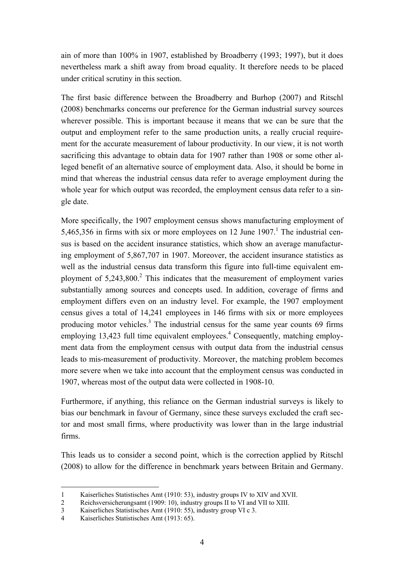ain of more than 100% in 1907, established by Broadberry (1993; 1997), but it does nevertheless mark a shift away from broad equality. It therefore needs to be placed under critical scrutiny in this section.

The first basic difference between the Broadberry and Burhop (2007) and Ritschl (2008) benchmarks concerns our preference for the German industrial survey sources wherever possible. This is important because it means that we can be sure that the output and employment refer to the same production units, a really crucial requirement for the accurate measurement of labour productivity. In our view, it is not worth sacrificing this advantage to obtain data for 1907 rather than 1908 or some other alleged benefit of an alternative source of employment data. Also, it should be borne in mind that whereas the industrial census data refer to average employment during the whole year for which output was recorded, the employment census data refer to a single date.

More specifically, the 1907 employment census shows manufacturing employment of 5,465,356 in firms with six or more employees on 12 June  $1907<sup>1</sup>$ . The industrial census is based on the accident insurance statistics, which show an average manufacturing employment of 5,867,707 in 1907. Moreover, the accident insurance statistics as well as the industrial census data transform this figure into full-time equivalent employment of  $5,243,800$ .<sup>2</sup> This indicates that the measurement of employment varies substantially among sources and concepts used. In addition, coverage of firms and employment differs even on an industry level. For example, the 1907 employment census gives a total of 14,241 employees in 146 firms with six or more employees producing motor vehicles.<sup>3</sup> The industrial census for the same year counts 69 firms employing 13,423 full time equivalent employees.<sup>4</sup> Consequently, matching employment data from the employment census with output data from the industrial census leads to mis-measurement of productivity. Moreover, the matching problem becomes more severe when we take into account that the employment census was conducted in 1907, whereas most of the output data were collected in 1908-10.

Furthermore, if anything, this reliance on the German industrial surveys is likely to bias our benchmark in favour of Germany, since these surveys excluded the craft sector and most small firms, where productivity was lower than in the large industrial firms.

This leads us to consider a second point, which is the correction applied by Ritschl (2008) to allow for the difference in benchmark years between Britain and Germany.

 $\overline{a}$ 

<sup>1</sup> Kaiserliches Statistisches Amt (1910: 53), industry groups IV to XIV and XVII.

<sup>2</sup> Reichsversicherungsamt (1909: 10), industry groups II to VI and VII to XIII.

<sup>3</sup> Kaiserliches Statistisches Amt (1910: 55), industry group VI c 3.

<sup>4</sup> Kaiserliches Statistisches Amt (1913: 65).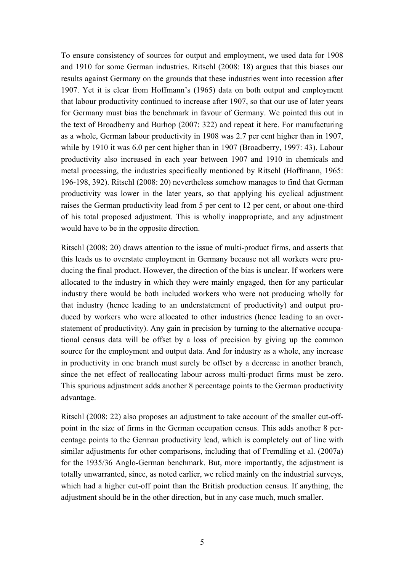To ensure consistency of sources for output and employment, we used data for 1908 and 1910 for some German industries. Ritschl (2008: 18) argues that this biases our results against Germany on the grounds that these industries went into recession after 1907. Yet it is clear from Hoffmann's (1965) data on both output and employment that labour productivity continued to increase after 1907, so that our use of later years for Germany must bias the benchmark in favour of Germany. We pointed this out in the text of Broadberry and Burhop (2007: 322) and repeat it here. For manufacturing as a whole, German labour productivity in 1908 was 2.7 per cent higher than in 1907, while by 1910 it was 6.0 per cent higher than in 1907 (Broadberry, 1997: 43). Labour productivity also increased in each year between 1907 and 1910 in chemicals and metal processing, the industries specifically mentioned by Ritschl (Hoffmann, 1965: 196-198, 392). Ritschl (2008: 20) nevertheless somehow manages to find that German productivity was lower in the later years, so that applying his cyclical adjustment raises the German productivity lead from 5 per cent to 12 per cent, or about one-third of his total proposed adjustment. This is wholly inappropriate, and any adjustment would have to be in the opposite direction.

Ritschl (2008: 20) draws attention to the issue of multi-product firms, and asserts that this leads us to overstate employment in Germany because not all workers were producing the final product. However, the direction of the bias is unclear. If workers were allocated to the industry in which they were mainly engaged, then for any particular industry there would be both included workers who were not producing wholly for that industry (hence leading to an understatement of productivity) and output produced by workers who were allocated to other industries (hence leading to an overstatement of productivity). Any gain in precision by turning to the alternative occupational census data will be offset by a loss of precision by giving up the common source for the employment and output data. And for industry as a whole, any increase in productivity in one branch must surely be offset by a decrease in another branch, since the net effect of reallocating labour across multi-product firms must be zero. This spurious adjustment adds another 8 percentage points to the German productivity advantage.

Ritschl (2008: 22) also proposes an adjustment to take account of the smaller cut-offpoint in the size of firms in the German occupation census. This adds another 8 percentage points to the German productivity lead, which is completely out of line with similar adjustments for other comparisons, including that of Fremdling et al. (2007a) for the 1935/36 Anglo-German benchmark. But, more importantly, the adjustment is totally unwarranted, since, as noted earlier, we relied mainly on the industrial surveys, which had a higher cut-off point than the British production census. If anything, the adjustment should be in the other direction, but in any case much, much smaller.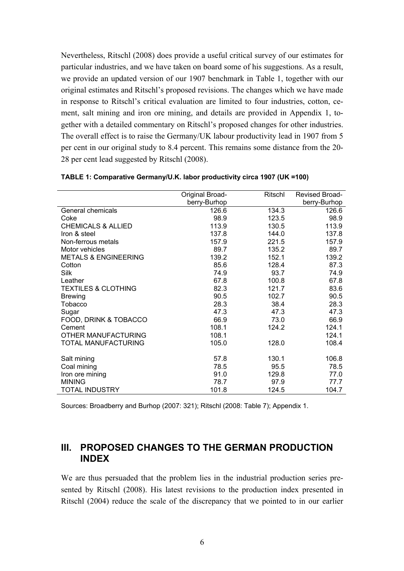Nevertheless, Ritschl (2008) does provide a useful critical survey of our estimates for particular industries, and we have taken on board some of his suggestions. As a result, we provide an updated version of our 1907 benchmark in Table 1, together with our original estimates and Ritschl's proposed revisions. The changes which we have made in response to Ritschl's critical evaluation are limited to four industries, cotton, cement, salt mining and iron ore mining, and details are provided in Appendix 1, together with a detailed commentary on Ritschl's proposed changes for other industries. The overall effect is to raise the Germany/UK labour productivity lead in 1907 from 5 per cent in our original study to 8.4 percent. This remains some distance from the 20- 28 per cent lead suggested by Ritschl (2008).

|                                 | Original Broad- | Ritschl | Revised Broad- |
|---------------------------------|-----------------|---------|----------------|
|                                 | berry-Burhop    |         | berry-Burhop   |
| General chemicals               | 126.6           | 134.3   | 126.6          |
| Coke                            | 98.9            | 123.5   | 98.9           |
| <b>CHEMICALS &amp; ALLIED</b>   | 113.9           | 130.5   | 113.9          |
| Iron & steel                    | 137.8           | 144.0   | 137.8          |
| Non-ferrous metals              | 157.9           | 221.5   | 157.9          |
| Motor vehicles                  | 89.7            | 135.2   | 89.7           |
| <b>METALS &amp; ENGINEERING</b> | 139.2           | 152.1   | 139.2          |
| Cotton                          | 85.6            | 128.4   | 87.3           |
| Silk                            | 74.9            | 93.7    | 74.9           |
| Leather                         | 67.8            | 100.8   | 67.8           |
| <b>TEXTILES &amp; CLOTHING</b>  | 82.3            | 121.7   | 83.6           |
| <b>Brewing</b>                  | 90.5            | 102.7   | 90.5           |
| Tobacco                         | 28.3            | 38.4    | 28.3           |
| Sugar                           | 47.3            | 47.3    | 47.3           |
| FOOD, DRINK & TOBACCO           | 66.9            | 73.0    | 66.9           |
| Cement                          | 108.1           | 124.2   | 124.1          |
| OTHER MANUFACTURING             | 108.1           |         | 124.1          |
| TOTAL MANUFACTURING             | 105.0           | 128.0   | 108.4          |
| Salt mining                     | 57.8            | 130.1   | 106.8          |
| Coal mining                     | 78.5            | 95.5    | 78.5           |
| Iron ore mining                 | 91.0            | 129.8   | 77.0           |
| <b>MINING</b>                   | 78.7            | 97.9    | 77.7           |
| <b>TOTAL INDUSTRY</b>           | 101.8           | 124.5   | 104.7          |

**TABLE 1: Comparative Germany/U.K. labor productivity circa 1907 (UK =100)** 

Sources: Broadberry and Burhop (2007: 321); Ritschl (2008: Table 7); Appendix 1.

### **III. PROPOSED CHANGES TO THE GERMAN PRODUCTION INDEX**

We are thus persuaded that the problem lies in the industrial production series presented by Ritschl (2008). His latest revisions to the production index presented in Ritschl (2004) reduce the scale of the discrepancy that we pointed to in our earlier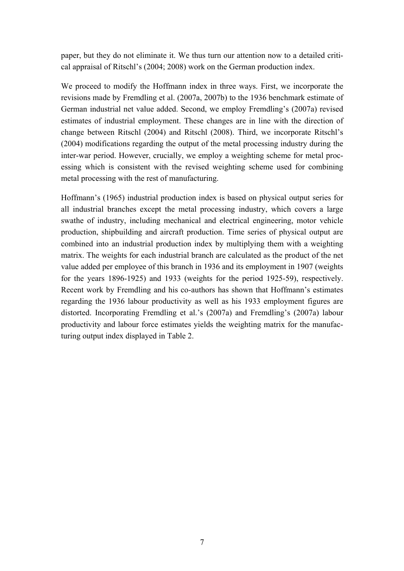paper, but they do not eliminate it. We thus turn our attention now to a detailed critical appraisal of Ritschl's (2004; 2008) work on the German production index.

We proceed to modify the Hoffmann index in three ways. First, we incorporate the revisions made by Fremdling et al. (2007a, 2007b) to the 1936 benchmark estimate of German industrial net value added. Second, we employ Fremdling's (2007a) revised estimates of industrial employment. These changes are in line with the direction of change between Ritschl (2004) and Ritschl (2008). Third, we incorporate Ritschl's (2004) modifications regarding the output of the metal processing industry during the inter-war period. However, crucially, we employ a weighting scheme for metal processing which is consistent with the revised weighting scheme used for combining metal processing with the rest of manufacturing.

Hoffmann's (1965) industrial production index is based on physical output series for all industrial branches except the metal processing industry, which covers a large swathe of industry, including mechanical and electrical engineering, motor vehicle production, shipbuilding and aircraft production. Time series of physical output are combined into an industrial production index by multiplying them with a weighting matrix. The weights for each industrial branch are calculated as the product of the net value added per employee of this branch in 1936 and its employment in 1907 (weights for the years 1896-1925) and 1933 (weights for the period 1925-59), respectively. Recent work by Fremdling and his co-authors has shown that Hoffmann's estimates regarding the 1936 labour productivity as well as his 1933 employment figures are distorted. Incorporating Fremdling et al.'s (2007a) and Fremdling's (2007a) labour productivity and labour force estimates yields the weighting matrix for the manufacturing output index displayed in Table 2.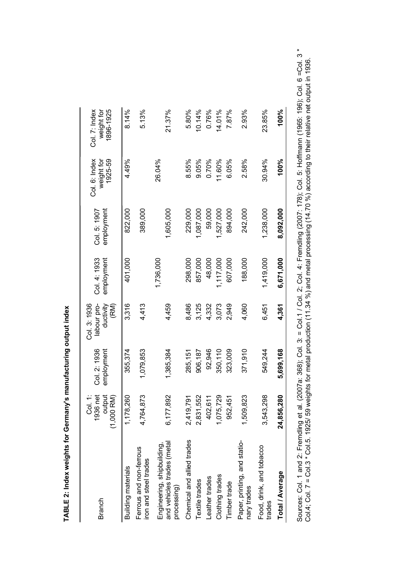| Branch                                                                  | i:<br>S<br>1936 net<br>output<br>$(1,000$ RM $)$ | Col. 2: 1936<br>employment | Col. 3: 1936<br>ductivity<br>labour pro-<br>(RM) | Col. 4: 1933<br>employment | employment<br>Col. 5: 1907 | 1925-59<br>Col. 6: Index<br>weight for | 896-1925<br>Col. 7: Index<br>weight for |
|-------------------------------------------------------------------------|--------------------------------------------------|----------------------------|--------------------------------------------------|----------------------------|----------------------------|----------------------------------------|-----------------------------------------|
| Building materials                                                      | 1,178,260                                        | 355,374                    | 3,316                                            | 401,000                    | 822,000                    | 4.49%                                  | 8.14%                                   |
| Ferrous and non-ferrous<br>iron and steel trades                        | 4,764,873                                        | 1,079,853                  | 4,413                                            |                            | 389,000                    |                                        | 5.13%                                   |
| and vehicles trades (metal<br>Engineering, shipbuilding,<br>processing) | 6,177,892                                        | 1,385,384                  | 4,459                                            | 1,736,000                  | 1,605,000                  | 26.04%                                 | 21.37%                                  |
| Chemical and allied trades                                              | 2,419,791                                        | 285,151                    | 8,486                                            | 298,000                    | 229,000                    | 8.55%                                  | 5.80%                                   |
| Textile trades                                                          | 2,831,552                                        | 906,187                    | 3,125                                            | 857,000                    | 1,087,000                  | 9.05%                                  | 10.14%                                  |
| Leather trades                                                          | 402,611                                          | 92,946                     | 4,332                                            | 48,000                     | 59,000                     | 0.70%                                  | 0.76%                                   |
| Clothing trades                                                         | 1,075,729                                        | 350,110                    | 3,073                                            | 1,117,000                  | 1,527,000                  | 11.60%                                 | 14.01%                                  |
| Timber trade                                                            | 952,451                                          | 323,009                    | 2,949                                            | 607,000                    | 894,000                    | 6.05%                                  | 7.87%                                   |
| Paper, printing, and statio-<br>nary trades                             | 1,509,823                                        | 371,910                    | 4,060                                            | 188,000                    | 242,000                    | 2.58%                                  | 2.93%                                   |
| Food, drink, and tobacco<br>trades                                      | 3,543,298                                        | 549,244                    | 6,451                                            | 1,419,000                  | 1,238,000                  | 30.94%                                 | 23.85%                                  |
| Total / Average                                                         | 24,856,280                                       | 5,699,168                  | 4,361                                            | 6,671,000                  | 8,092,000                  | 100%                                   | 100%                                    |

TABLE 2: Index weights for Germany's manufacturing output index **TABLE 2: Index weights for Germany's manufacturing output index** 

Sources: Col. 1 and 2: Fremdling et al. (2007a: 368); Col. 3: = Col.1 / Col. 2; Col. 4: Fremdling (2007: 178); Col. 5: Hoffmann (1965: 196); Col. 6 =Col. 3 \*<br>Col.4; Col. 7 = Col.3 \* Col.5. 1925/ 59 weights for metal produc Sources: Col. 1 and 2: Fremdling et al. (2007a: 368); Col. 2; Col. 2; Col. 2; Col. 4: Fremdling et al. (2007a: 368); Col. 3: 1780; 1780; 1780; 1780; 1780; 1780; 1780; 1780; 1780; 1780; 1780; 1780; 1780; 1780; 1790; 1790; Col.4; Col. 7 = Col.3 \* Col.5. 1925/ 59 weights for metal production (11.34 %) and metal processing (14.70 %) according to their relative net output in 1936.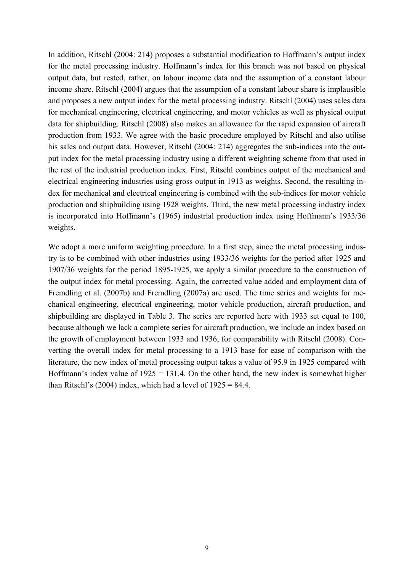In addition, Ritschl (2004: 214) proposes a substantial modification to Hoffmann's output index for the metal processing industry. Hoffmann's index for this branch was not based on physical output data, but rested, rather, on labour income data and the assumption of a constant labour income share. Ritschl (2004) argues that the assumption of a constant labour share is implausible and proposes a new output index for the metal processing industry. Ritschl (2004) uses sales data for mechanical engineering, electrical engineering, and motor vehicles as well as physical output data for shipbuilding. Ritschl (2008) also makes an allowance for the rapid expansion of aircraft production from 1933. We agree with the basic procedure employed by Ritschl and also utilise his sales and output data. However, Ritschl (2004: 214) aggregates the sub-indices into the output index for the metal processing industry using a different weighting scheme from that used in the rest of the industrial production index. First, Ritschl combines output of the mechanical and electrical engineering industries using gross output in 1913 as weights. Second, the resulting index for mechanical and electrical engineering is combined with the sub-indices for motor vehicle production and shipbuilding using 1928 weights. Third, the new metal processing industry index is incorporated into Hoffmann's (1965) industrial production index using Hoffmann's 1933/36 weights.

We adopt a more uniform weighting procedure. In a first step, since the metal processing industry is to be combined with other industries using 1933/36 weights for the period after 1925 and 1907/36 weights for the period 1895-1925, we apply a similar procedure to the construction of the output index for metal processing. Again, the corrected value added and employment data of Fremdling et al. (2007b) and Fremdling (2007a) are used. The time series and weights for mechanical engineering, electrical engineering, motor vehicle production, aircraft production, and shipbuilding are displayed in Table 3. The series are reported here with 1933 set equal to 100, because although we lack a complete series for aircraft production, we include an index based on the growth of employment between 1933 and 1936, for comparability with Ritschl (2008). Converting the overall index for metal processing to a 1913 base for ease of comparison with the literature, the new index of metal processing output takes a value of 95.9 in 1925 compared with Hoffmann's index value of  $1925 = 131.4$ . On the other hand, the new index is somewhat higher than Ritschl's (2004) index, which had a level of  $1925 = 84.4$ .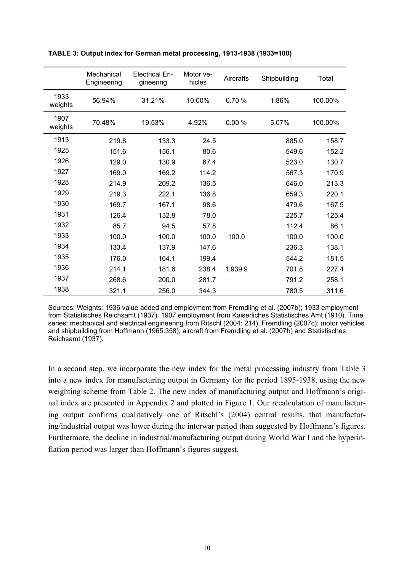|                 | Mechanical<br>Engineering | <b>Electrical En-</b><br>gineering | Motor ye-<br>hicles | <b>Aircrafts</b> | Shipbuilding | Total   |
|-----------------|---------------------------|------------------------------------|---------------------|------------------|--------------|---------|
| 1933<br>weights | 56.94%                    | 31.21%                             | 10.00%              | 0.70%            | 1.86%        | 100.00% |
| 1907<br>weights | 70.48%                    | 19.53%                             | 4.92%               | 0.00%            | 5.07%        | 100.00% |
| 1913            | 219.8                     | 133.3                              | 24.5                |                  | 885.0        | 158.7   |
| 1925            | 151.6                     | 156.1                              | 80.6                |                  | 549.6        | 152.2   |
| 1926            | 129.0                     | 130.9                              | 67.4                |                  | 523.0        | 130.7   |
| 1927            | 169.0                     | 169.2                              | 114.2               |                  | 567.3        | 170.9   |
| 1928            | 214.9                     | 209.2                              | 136.5               |                  | 646.0        | 213.3   |
| 1929            | 219.3                     | 222.1                              | 136.8               |                  | 659.3        | 220.1   |
| 1930            | 169.7                     | 167.1                              | 98.6                |                  | 479.6        | 167.5   |
| 1931            | 126.4                     | 132.8                              | 78.0                |                  | 225.7        | 125.4   |
| 1932            | 85.7                      | 94.5                               | 57.8                |                  | 112.4        | 86.1    |
| 1933            | 100.0                     | 100.0                              | 100.0               | 100.0            | 100.0        | 100.0   |
| 1934            | 133.4                     | 137.9                              | 147.6               |                  | 236.3        | 138.1   |
| 1935            | 176.0                     | 164.1                              | 199.4               |                  | 544.2        | 181.5   |
| 1936            | 214.1                     | 181.6                              | 238.4               | 1,939.9          | 701.8        | 227.4   |
| 1937            | 268.6                     | 200.0                              | 281.7               |                  | 791.2        | 258.1   |
| 1938            | 321.1                     | 256.0                              | 344.3               |                  | 780.5        | 311.6   |

#### **TABLE 3: Output index for German metal processing, 1913-1938 (1933=100)**

Sources: Weights: 1936 value added and employment from Fremdling et al. (2007b); 1933 employment from Statistisches Reichsamt (1937). 1907 employment from Kaiserliches Statistisches Amt (1910). Time series: mechanical and electrical engineering from Ritschl (2004: 214), Fremdling (2007c); motor vehicles and shipbuilding from Hoffmann (1965:358); aircraft from Fremdling et al. (2007b) and Statistisches Reichsamt (1937).

In a second step, we incorporate the new index for the metal processing industry from Table 3 into a new index for manufacturing output in Germany for the period 1895-1938, using the new weighting scheme from Table 2. The new index of manufacturing output and Hoffmann's original index are presented in Appendix 2 and plotted in Figure 1. Our recalculation of manufacturing output confirms qualitatively one of Ritschl's (2004) central results, that manufacturing/industrial output was lower during the interwar period than suggested by Hoffmann's figures. Furthermore, the decline in industrial/manufacturing output during World War I and the hyperinflation period was larger than Hoffmann's figures suggest.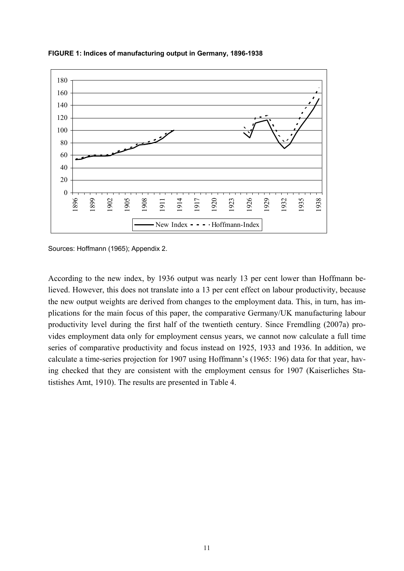

**FIGURE 1: Indices of manufacturing output in Germany, 1896-1938** 

Sources: Hoffmann (1965); Appendix 2.

According to the new index, by 1936 output was nearly 13 per cent lower than Hoffmann believed. However, this does not translate into a 13 per cent effect on labour productivity, because the new output weights are derived from changes to the employment data. This, in turn, has implications for the main focus of this paper, the comparative Germany/UK manufacturing labour productivity level during the first half of the twentieth century. Since Fremdling (2007a) provides employment data only for employment census years, we cannot now calculate a full time series of comparative productivity and focus instead on 1925, 1933 and 1936. In addition, we calculate a time-series projection for 1907 using Hoffmann's (1965: 196) data for that year, having checked that they are consistent with the employment census for 1907 (Kaiserliches Statistishes Amt, 1910). The results are presented in Table 4.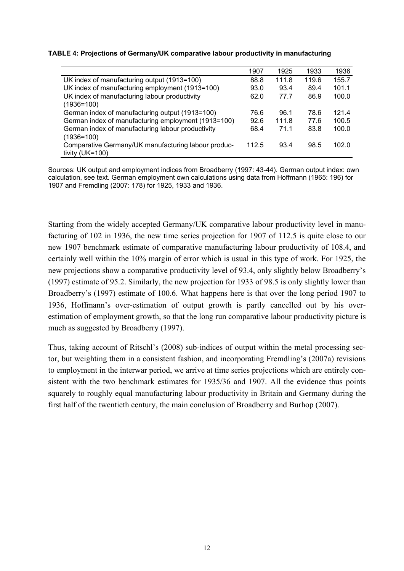#### **TABLE 4: Projections of Germany/UK comparative labour productivity in manufacturing**

|                                                     | 1907  | 1925  | 1933  | 1936  |
|-----------------------------------------------------|-------|-------|-------|-------|
| UK index of manufacturing output (1913=100)         | 88.8  | 111.8 | 119.6 | 155.7 |
| UK index of manufacturing employment (1913=100)     | 93.0  | 93.4  | 89.4  | 101.1 |
| UK index of manufacturing labour productivity       | 62.0  | 77.7  | 86.9  | 100.0 |
| $(1936=100)$                                        |       |       |       |       |
| German index of manufacturing output (1913=100)     | 76.6  | 96.1  | 78.6  | 121.4 |
| German index of manufacturing employment (1913=100) | 92.6  | 111.8 | 77.6  | 100.5 |
| German index of manufacturing labour productivity   | 68.4  | 71.1  | 83.8  | 100.0 |
| $(1936=100)$                                        |       |       |       |       |
| Comparative Germany/UK manufacturing labour produc- | 112.5 | 93.4  | 98.5  | 102.0 |
| tivity $(UK=100)$                                   |       |       |       |       |

Sources: UK output and employment indices from Broadberry (1997: 43-44). German output index: own calculation, see text. German employment own calculations using data from Hoffmann (1965: 196) for 1907 and Fremdling (2007: 178) for 1925, 1933 and 1936.

Starting from the widely accepted Germany/UK comparative labour productivity level in manufacturing of 102 in 1936, the new time series projection for 1907 of 112.5 is quite close to our new 1907 benchmark estimate of comparative manufacturing labour productivity of 108.4, and certainly well within the 10% margin of error which is usual in this type of work. For 1925, the new projections show a comparative productivity level of 93.4, only slightly below Broadberry's (1997) estimate of 95.2. Similarly, the new projection for 1933 of 98.5 is only slightly lower than Broadberry's (1997) estimate of 100.6. What happens here is that over the long period 1907 to 1936, Hoffmann's over-estimation of output growth is partly cancelled out by his overestimation of employment growth, so that the long run comparative labour productivity picture is much as suggested by Broadberry (1997).

Thus, taking account of Ritschl's (2008) sub-indices of output within the metal processing sector, but weighting them in a consistent fashion, and incorporating Fremdling's (2007a) revisions to employment in the interwar period, we arrive at time series projections which are entirely consistent with the two benchmark estimates for 1935/36 and 1907. All the evidence thus points squarely to roughly equal manufacturing labour productivity in Britain and Germany during the first half of the twentieth century, the main conclusion of Broadberry and Burhop (2007).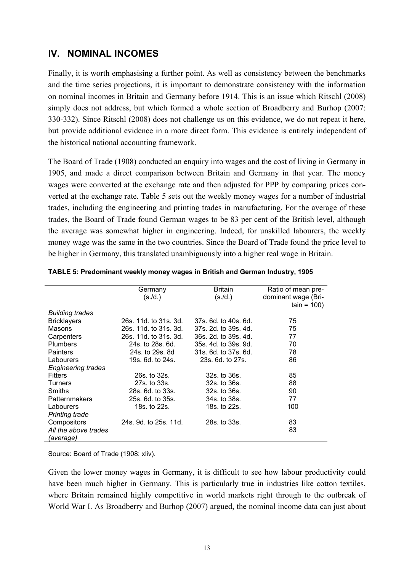### **IV. NOMINAL INCOMES**

Finally, it is worth emphasising a further point. As well as consistency between the benchmarks and the time series projections, it is important to demonstrate consistency with the information on nominal incomes in Britain and Germany before 1914. This is an issue which Ritschl (2008) simply does not address, but which formed a whole section of Broadberry and Burhop (2007: 330-332). Since Ritschl (2008) does not challenge us on this evidence, we do not repeat it here, but provide additional evidence in a more direct form. This evidence is entirely independent of the historical national accounting framework.

The Board of Trade (1908) conducted an enquiry into wages and the cost of living in Germany in 1905, and made a direct comparison between Britain and Germany in that year. The money wages were converted at the exchange rate and then adjusted for PPP by comparing prices converted at the exchange rate. Table 5 sets out the weekly money wages for a number of industrial trades, including the engineering and printing trades in manufacturing. For the average of these trades, the Board of Trade found German wages to be 83 per cent of the British level, although the average was somewhat higher in engineering. Indeed, for unskilled labourers, the weekly money wage was the same in the two countries. Since the Board of Trade found the price level to be higher in Germany, this translated unambiguously into a higher real wage in Britain.

|                           | Germany               | <b>Britain</b>       | Ratio of mean pre-  |
|---------------------------|-----------------------|----------------------|---------------------|
|                           | (s./d.)               | (s./d.)              | dominant wage (Bri- |
|                           |                       |                      | $tain = 100$        |
| <b>Building trades</b>    |                       |                      |                     |
| <b>Bricklayers</b>        | 26s. 11d. to 31s. 3d. | 37s. 6d. to 40s. 6d. | 75                  |
| Masons                    | 26s, 11d, to 31s, 3d. | 37s. 2d. to 39s. 4d. | 75                  |
| Carpenters                | 26s. 11d. to 31s. 3d. | 36s. 2d. to 39s. 4d. | 77                  |
| Plumbers                  | 24s. to 28s. 6d.      | 35s. 4d. to 39s. 9d. | 70                  |
| <b>Painters</b>           | 24s, to 29s, 8d       | 31s, 6d, to 37s, 6d. | 78                  |
| Labourers                 | 19s. 6d. to 24s.      | 23s, 6d, to 27s.     | 86                  |
| <b>Engineering trades</b> |                       |                      |                     |
| <b>Fitters</b>            | 26s. to 32s.          | 32s. to 36s.         | 85                  |
| <b>Turners</b>            | 27s. to 33s.          | 32s. to 36s.         | 88                  |
| Smiths                    | 28s, 6d, to 33s.      | 32s. to 36s.         | 90                  |
| <b>Patternmakers</b>      | 25s. 6d. to 35s.      | 34s. to 38s.         | 77                  |
| Labourers                 | 18s. to 22s.          | 18s. to 22s.         | 100                 |
| <b>Printing trade</b>     |                       |                      |                     |
| Compositors               | 24s. 9d. to 25s. 11d. | 28s. to 33s.         | 83                  |
| All the above trades      |                       |                      | 83                  |
| (average)                 |                       |                      |                     |

| TABLE 5: Predominant weekly money wages in British and German Industry, 1905 |  |  |
|------------------------------------------------------------------------------|--|--|
|                                                                              |  |  |

Source: Board of Trade (1908: xliv).

Given the lower money wages in Germany, it is difficult to see how labour productivity could have been much higher in Germany. This is particularly true in industries like cotton textiles, where Britain remained highly competitive in world markets right through to the outbreak of World War I. As Broadberry and Burhop (2007) argued, the nominal income data can just about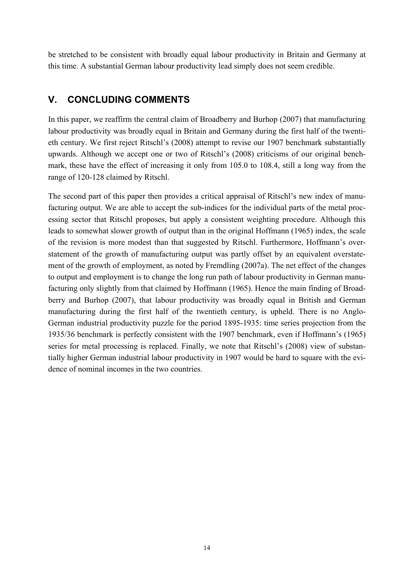be stretched to be consistent with broadly equal labour productivity in Britain and Germany at this time. A substantial German labour productivity lead simply does not seem credible.

## **V. CONCLUDING COMMENTS**

In this paper, we reaffirm the central claim of Broadberry and Burhop (2007) that manufacturing labour productivity was broadly equal in Britain and Germany during the first half of the twentieth century. We first reject Ritschl's (2008) attempt to revise our 1907 benchmark substantially upwards. Although we accept one or two of Ritschl's (2008) criticisms of our original benchmark, these have the effect of increasing it only from 105.0 to 108.4, still a long way from the range of 120-128 claimed by Ritschl.

The second part of this paper then provides a critical appraisal of Ritschl's new index of manufacturing output. We are able to accept the sub-indices for the individual parts of the metal processing sector that Ritschl proposes, but apply a consistent weighting procedure. Although this leads to somewhat slower growth of output than in the original Hoffmann (1965) index, the scale of the revision is more modest than that suggested by Ritschl. Furthermore, Hoffmann's overstatement of the growth of manufacturing output was partly offset by an equivalent overstatement of the growth of employment, as noted by Fremdling (2007a). The net effect of the changes to output and employment is to change the long run path of labour productivity in German manufacturing only slightly from that claimed by Hoffmann (1965). Hence the main finding of Broadberry and Burhop (2007), that labour productivity was broadly equal in British and German manufacturing during the first half of the twentieth century, is upheld. There is no Anglo-German industrial productivity puzzle for the period 1895-1935: time series projection from the 1935/36 benchmark is perfectly consistent with the 1907 benchmark, even if Hoffmann's (1965) series for metal processing is replaced. Finally, we note that Ritschl's (2008) view of substantially higher German industrial labour productivity in 1907 would be hard to square with the evidence of nominal incomes in the two countries.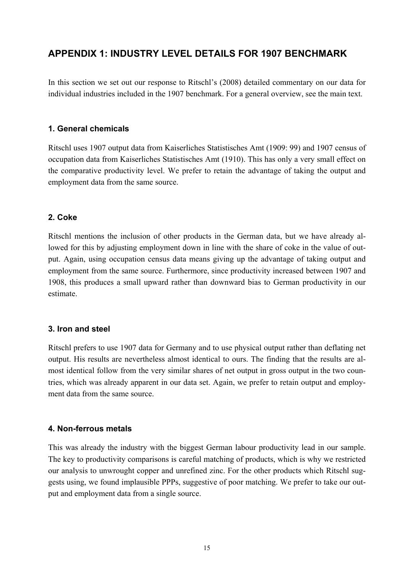### **APPENDIX 1: INDUSTRY LEVEL DETAILS FOR 1907 BENCHMARK**

In this section we set out our response to Ritschl's (2008) detailed commentary on our data for individual industries included in the 1907 benchmark. For a general overview, see the main text.

#### **1. General chemicals**

Ritschl uses 1907 output data from Kaiserliches Statistisches Amt (1909: 99) and 1907 census of occupation data from Kaiserliches Statistisches Amt (1910). This has only a very small effect on the comparative productivity level. We prefer to retain the advantage of taking the output and employment data from the same source.

#### **2. Coke**

Ritschl mentions the inclusion of other products in the German data, but we have already allowed for this by adjusting employment down in line with the share of coke in the value of output. Again, using occupation census data means giving up the advantage of taking output and employment from the same source. Furthermore, since productivity increased between 1907 and 1908, this produces a small upward rather than downward bias to German productivity in our estimate.

#### **3. Iron and steel**

Ritschl prefers to use 1907 data for Germany and to use physical output rather than deflating net output. His results are nevertheless almost identical to ours. The finding that the results are almost identical follow from the very similar shares of net output in gross output in the two countries, which was already apparent in our data set. Again, we prefer to retain output and employment data from the same source.

#### **4. Non-ferrous metals**

This was already the industry with the biggest German labour productivity lead in our sample. The key to productivity comparisons is careful matching of products, which is why we restricted our analysis to unwrought copper and unrefined zinc. For the other products which Ritschl suggests using, we found implausible PPPs, suggestive of poor matching. We prefer to take our output and employment data from a single source.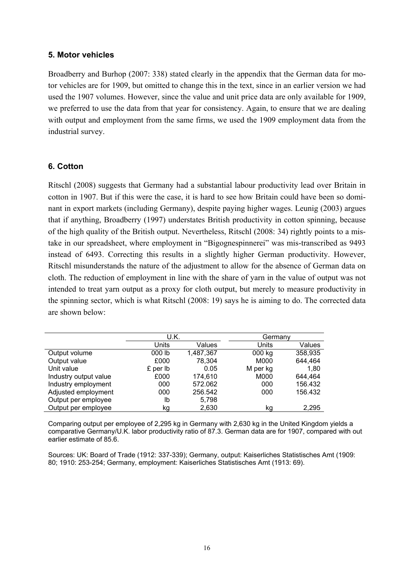#### **5. Motor vehicles**

Broadberry and Burhop (2007: 338) stated clearly in the appendix that the German data for motor vehicles are for 1909, but omitted to change this in the text, since in an earlier version we had used the 1907 volumes. However, since the value and unit price data are only available for 1909, we preferred to use the data from that year for consistency. Again, to ensure that we are dealing with output and employment from the same firms, we used the 1909 employment data from the industrial survey.

#### **6. Cotton**

Ritschl (2008) suggests that Germany had a substantial labour productivity lead over Britain in cotton in 1907. But if this were the case, it is hard to see how Britain could have been so dominant in export markets (including Germany), despite paying higher wages. Leunig (2003) argues that if anything, Broadberry (1997) understates British productivity in cotton spinning, because of the high quality of the British output. Nevertheless, Ritschl (2008: 34) rightly points to a mistake in our spreadsheet, where employment in "Bigognespinnerei" was mis-transcribed as 9493 instead of 6493. Correcting this results in a slightly higher German productivity. However, Ritschl misunderstands the nature of the adjustment to allow for the absence of German data on cloth. The reduction of employment in line with the share of yarn in the value of output was not intended to treat yarn output as a proxy for cloth output, but merely to measure productivity in the spinning sector, which is what Ritschl (2008: 19) says he is aiming to do. The corrected data are shown below:

|                       | U.K.     |           | Germany  |         |
|-----------------------|----------|-----------|----------|---------|
|                       | Units    | Values    | Units    | Values  |
| Output volume         | 000 lb   | 1,487,367 | 000 kg   | 358,935 |
| Output value          | £000     | 78.304    | M000     | 644,464 |
| Unit value            | £ per lb | 0.05      | M per kg | 1,80    |
| Industry output value | £000     | 174,610   | M000     | 644.464 |
| Industry employment   | 000      | 572.062   | 000      | 156.432 |
| Adjusted employment   | 000      | 256.542   | 000      | 156.432 |
| Output per employee   | lb       | 5,798     |          |         |
| Output per employee   | kg       | 2.630     | kg       | 2,295   |

Comparing output per employee of 2,295 kg in Germany with 2,630 kg in the United Kingdom yields a comparative Germany/U.K. labor productivity ratio of 87.3. German data are for 1907, compared with out earlier estimate of 85.6.

Sources: UK: Board of Trade (1912: 337-339); Germany, output: Kaiserliches Statistisches Amt (1909: 80; 1910: 253-254; Germany, employment: Kaiserliches Statistisches Amt (1913: 69).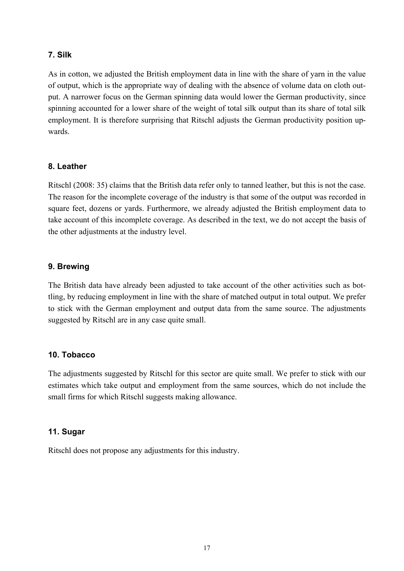#### **7. Silk**

As in cotton, we adjusted the British employment data in line with the share of yarn in the value of output, which is the appropriate way of dealing with the absence of volume data on cloth output. A narrower focus on the German spinning data would lower the German productivity, since spinning accounted for a lower share of the weight of total silk output than its share of total silk employment. It is therefore surprising that Ritschl adjusts the German productivity position upwards.

#### **8. Leather**

Ritschl (2008: 35) claims that the British data refer only to tanned leather, but this is not the case. The reason for the incomplete coverage of the industry is that some of the output was recorded in square feet, dozens or yards. Furthermore, we already adjusted the British employment data to take account of this incomplete coverage. As described in the text, we do not accept the basis of the other adjustments at the industry level.

#### **9. Brewing**

The British data have already been adjusted to take account of the other activities such as bottling, by reducing employment in line with the share of matched output in total output. We prefer to stick with the German employment and output data from the same source. The adjustments suggested by Ritschl are in any case quite small.

#### **10. Tobacco**

The adjustments suggested by Ritschl for this sector are quite small. We prefer to stick with our estimates which take output and employment from the same sources, which do not include the small firms for which Ritschl suggests making allowance.

#### **11. Sugar**

Ritschl does not propose any adjustments for this industry.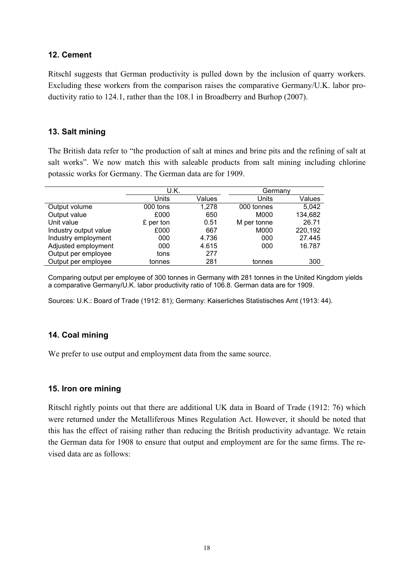#### **12. Cement**

Ritschl suggests that German productivity is pulled down by the inclusion of quarry workers. Excluding these workers from the comparison raises the comparative Germany/U.K. labor productivity ratio to 124.1, rather than the 108.1 in Broadberry and Burhop (2007).

#### **13. Salt mining**

The British data refer to "the production of salt at mines and brine pits and the refining of salt at salt works". We now match this with saleable products from salt mining including chlorine potassic works for Germany. The German data are for 1909.

|                       |           | U.K.   |             | Germany |
|-----------------------|-----------|--------|-------------|---------|
|                       | Units     | Values | Units       | Values  |
| Output volume         | 000 tons  | 1,278  | 000 tonnes  | 5,042   |
| Output value          | £000      | 650    | M000        | 134,682 |
| Unit value            | £ per ton | 0.51   | M per tonne | 26.71   |
| Industry output value | £000      | 667    | M000        | 220,192 |
| Industry employment   | 000       | 4.736  | 000         | 27.445  |
| Adjusted employment   | 000       | 4.615  | 000         | 16.787  |
| Output per employee   | tons      | 277    |             |         |
| Output per employee   | tonnes    | 281    | tonnes      | 300     |

Comparing output per employee of 300 tonnes in Germany with 281 tonnes in the United Kingdom yields a comparative Germany/U.K. labor productivity ratio of 106.8. German data are for 1909.

Sources: U.K.: Board of Trade (1912: 81); Germany: Kaiserliches Statistisches Amt (1913: 44).

#### **14. Coal mining**

We prefer to use output and employment data from the same source.

#### **15. Iron ore mining**

Ritschl rightly points out that there are additional UK data in Board of Trade (1912: 76) which were returned under the Metalliferous Mines Regulation Act. However, it should be noted that this has the effect of raising rather than reducing the British productivity advantage. We retain the German data for 1908 to ensure that output and employment are for the same firms. The revised data are as follows: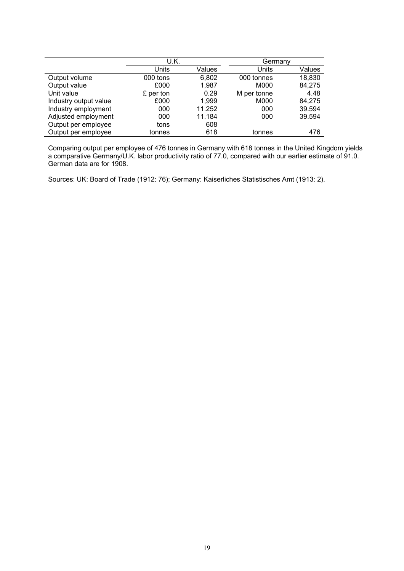|                       | U.K.      |        | Germany     |        |
|-----------------------|-----------|--------|-------------|--------|
|                       | Units     | Values | Units       | Values |
| Output volume         | 000 tons  | 6,802  | 000 tonnes  | 18,830 |
| Output value          | £000      | 1,987  | M000        | 84,275 |
| Unit value            | £ per ton | 0.29   | M per tonne | 4.48   |
| Industry output value | £000      | 1,999  | M000        | 84,275 |
| Industry employment   | 000       | 11.252 | 000         | 39.594 |
| Adjusted employment   | 000       | 11.184 | 000         | 39.594 |
| Output per employee   | tons      | 608    |             |        |
| Output per employee   | tonnes    | 618    | tonnes      | 476    |

Comparing output per employee of 476 tonnes in Germany with 618 tonnes in the United Kingdom yields a comparative Germany/U.K. labor productivity ratio of 77.0, compared with our earlier estimate of 91.0. German data are for 1908.

Sources: UK: Board of Trade (1912: 76); Germany: Kaiserliches Statistisches Amt (1913: 2).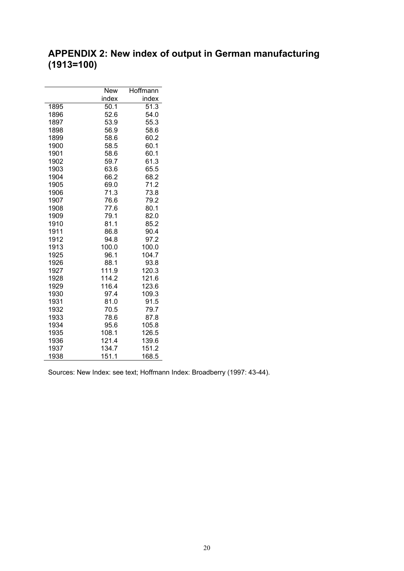# **APPENDIX 2: New index of output in German manufacturing (1913=100)**

|      | <b>New</b> | Hoffmann |
|------|------------|----------|
|      | index      | index    |
| 1895 | 50.1       | 51.3     |
| 1896 | 52.6       | 54.0     |
| 1897 | 53.9       | 55.3     |
| 1898 | 56.9       | 58.6     |
| 1899 | 58.6       | 60.2     |
| 1900 | 58.5       | 60.1     |
| 1901 | 58.6       | 60.1     |
| 1902 | 59.7       | 61.3     |
| 1903 | 63.6       | 65.5     |
| 1904 | 66.2       | 68.2     |
| 1905 | 69.0       | 71.2     |
| 1906 | 71.3       | 73.8     |
| 1907 | 76.6       | 79.2     |
| 1908 | 77.6       | 80.1     |
| 1909 | 79.1       | 82.0     |
| 1910 | 81.1       | 85.2     |
| 1911 | 86.8       | 90.4     |
| 1912 | 94.8       | 97.2     |
| 1913 | 100.0      | 100.0    |
| 1925 | 96.1       | 104.7    |
| 1926 | 88.1       | 93.8     |
| 1927 | 111.9      | 120.3    |
| 1928 | 114.2      | 121.6    |
| 1929 | 116.4      | 123.6    |
| 1930 | 97.4       | 109.3    |
| 1931 | 81.0       | 91.5     |
| 1932 | 70.5       | 79.7     |
| 1933 | 78.6       | 87.8     |
| 1934 | 95.6       | 105.8    |
| 1935 | 108.1      | 126.5    |
| 1936 | 121.4      | 139.6    |
| 1937 | 134.7      | 151.2    |
| 1938 | 151.1      | 168.5    |

Sources: New Index: see text; Hoffmann Index: Broadberry (1997: 43-44).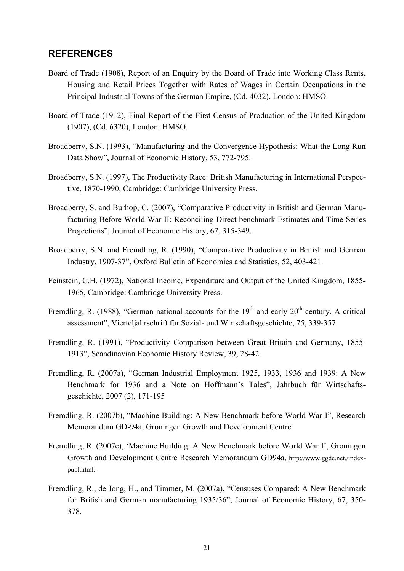### **REFERENCES**

- Board of Trade (1908), Report of an Enquiry by the Board of Trade into Working Class Rents, Housing and Retail Prices Together with Rates of Wages in Certain Occupations in the Principal Industrial Towns of the German Empire, (Cd. 4032), London: HMSO.
- Board of Trade (1912), Final Report of the First Census of Production of the United Kingdom (1907), (Cd. 6320), London: HMSO.
- Broadberry, S.N. (1993), "Manufacturing and the Convergence Hypothesis: What the Long Run Data Show", Journal of Economic History, 53, 772-795.
- Broadberry, S.N. (1997), The Productivity Race: British Manufacturing in International Perspective, 1870-1990, Cambridge: Cambridge University Press.
- Broadberry, S. and Burhop, C. (2007), "Comparative Productivity in British and German Manufacturing Before World War II: Reconciling Direct benchmark Estimates and Time Series Projections", Journal of Economic History, 67, 315-349.
- Broadberry, S.N. and Fremdling, R. (1990), "Comparative Productivity in British and German Industry, 1907-37", Oxford Bulletin of Economics and Statistics, 52, 403-421.
- Feinstein, C.H. (1972), National Income, Expenditure and Output of the United Kingdom, 1855- 1965, Cambridge: Cambridge University Press.
- Fremdling, R. (1988), "German national accounts for the  $19<sup>th</sup>$  and early  $20<sup>th</sup>$  century. A critical assessment", Vierteljahrschrift für Sozial- und Wirtschaftsgeschichte, 75, 339-357.
- Fremdling, R. (1991), "Productivity Comparison between Great Britain and Germany, 1855- 1913", Scandinavian Economic History Review, 39, 28-42.
- Fremdling, R. (2007a), "German Industrial Employment 1925, 1933, 1936 and 1939: A New Benchmark for 1936 and a Note on Hoffmann's Tales", Jahrbuch für Wirtschaftsgeschichte, 2007 (2), 171-195
- Fremdling, R. (2007b), "Machine Building: A New Benchmark before World War I", Research Memorandum GD-94a, Groningen Growth and Development Centre
- Fremdling, R. (2007c), 'Machine Building: A New Benchmark before World War I', Groningen Growth and Development Centre Research Memorandum GD94a, http://www.ggdc.net./indexpubl.html.
- Fremdling, R., de Jong, H., and Timmer, M. (2007a), "Censuses Compared: A New Benchmark for British and German manufacturing 1935/36", Journal of Economic History, 67, 350- 378.